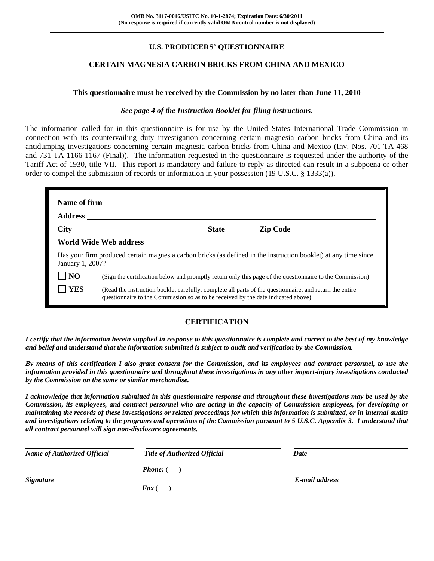## **U.S. PRODUCERS' QUESTIONNAIRE**

## **CERTAIN MAGNESIA CARBON BRICKS FROM CHINA AND MEXICO**

#### **This questionnaire must be received by the Commission by no later than June 11, 2010**

#### *See page 4 of the Instruction Booklet for filing instructions.*

The information called for in this questionnaire is for use by the United States International Trade Commission in connection with its countervailing duty investigation concerning certain magnesia carbon bricks from China and its antidumping investigations concerning certain magnesia carbon bricks from China and Mexico (Inv. Nos. 701-TA-468 and 731-TA-1166-1167 (Final)). The information requested in the questionnaire is requested under the authority of the Tariff Act of 1930, title VII. This report is mandatory and failure to reply as directed can result in a subpoena or other order to compel the submission of records or information in your possession (19 U.S.C. § 1333(a)).

| January 1, 2007? |                                                                                                                                                                                              |  | Has your firm produced certain magnesia carbon bricks (as defined in the instruction booklet) at any time since |
|------------------|----------------------------------------------------------------------------------------------------------------------------------------------------------------------------------------------|--|-----------------------------------------------------------------------------------------------------------------|
| N <sub>O</sub>   |                                                                                                                                                                                              |  | (Sign the certification below and promptly return only this page of the questionnaire to the Commission)        |
| <b>YES</b>       | (Read the instruction booklet carefully, complete all parts of the questionnaire, and return the entire<br>questionnaire to the Commission so as to be received by the date indicated above) |  |                                                                                                                 |

## **CERTIFICATION**

*I certify that the information herein supplied in response to this questionnaire is complete and correct to the best of my knowledge and belief and understand that the information submitted is subject to audit and verification by the Commission.* 

*By means of this certification I also grant consent for the Commission, and its employees and contract personnel, to use the information provided in this questionnaire and throughout these investigations in any other import-injury investigations conducted by the Commission on the same or similar merchandise.* 

*I acknowledge that information submitted in this questionnaire response and throughout these investigations may be used by the Commission, its employees, and contract personnel who are acting in the capacity of Commission employees, for developing or maintaining the records of these investigations or related proceedings for which this information is submitted, or in internal audits and investigations relating to the programs and operations of the Commission pursuant to 5 U.S.C. Appendix 3. I understand that all contract personnel will sign non-disclosure agreements.* 

| <b>Name of Authorized Official</b> | <b>Title of Authorized Official</b> | Date           |
|------------------------------------|-------------------------------------|----------------|
|                                    | <b>Phone:</b> (                     |                |
| <i>Signature</i>                   |                                     | E-mail address |
|                                    | Fax                                 |                |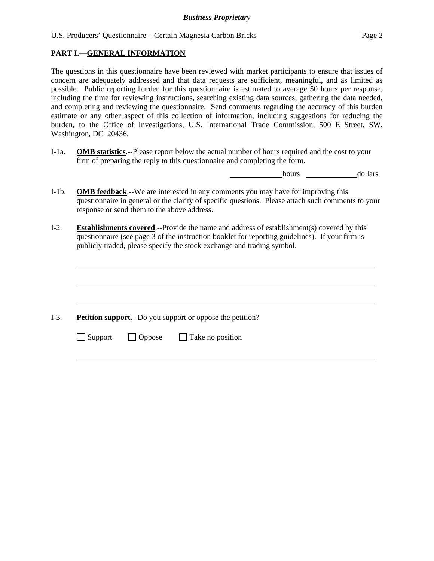## **PART I.—GENERAL INFORMATION**

The questions in this questionnaire have been reviewed with market participants to ensure that issues of concern are adequately addressed and that data requests are sufficient, meaningful, and as limited as possible. Public reporting burden for this questionnaire is estimated to average 50 hours per response, including the time for reviewing instructions, searching existing data sources, gathering the data needed, and completing and reviewing the questionnaire. Send comments regarding the accuracy of this burden estimate or any other aspect of this collection of information, including suggestions for reducing the burden, to the Office of Investigations, U.S. International Trade Commission, 500 E Street, SW, Washington, DC 20436.

I-1a. **OMB statistics**.--Please report below the actual number of hours required and the cost to your firm of preparing the reply to this questionnaire and completing the form.

hours dollars

- I-1b. **OMB feedback**.--We are interested in any comments you may have for improving this questionnaire in general or the clarity of specific questions. Please attach such comments to your response or send them to the above address.
- I-2. **Establishments covered**.--Provide the name and address of establishment(s) covered by this questionnaire (see page 3 of the instruction booklet for reporting guidelines). If your firm is publicly traded, please specify the stock exchange and trading symbol.

I-3. **Petition support**.--Do you support or oppose the petition?

 $\Box$  Support  $\Box$  Oppose  $\Box$  Take no position

 $\overline{a}$ 

 $\overline{a}$ 

 $\overline{a}$ 

l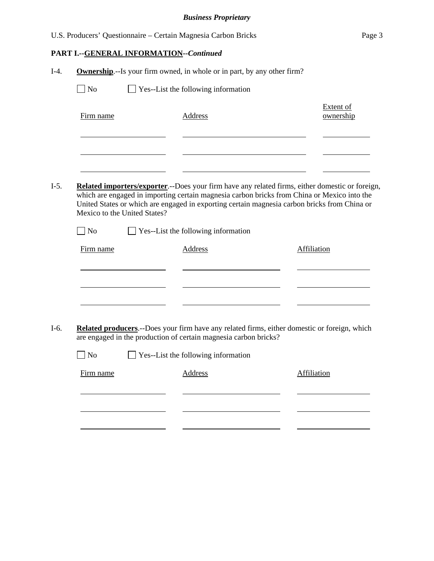|        |           | U.S. Producers' Questionnaire – Certain Magnesia Carbon Bricks                  |           | Page 3 |
|--------|-----------|---------------------------------------------------------------------------------|-----------|--------|
|        |           | <b>PART I.--GENERAL INFORMATION--Continued</b>                                  |           |        |
| $I-4.$ |           | <b>Ownership.</b> --Is your firm owned, in whole or in part, by any other firm? |           |        |
|        | $\Box$ No | $\Box$ Yes--List the following information                                      |           |        |
|        |           |                                                                                 | Extent of |        |

| $I-5.$ | <b>Related importers/exporter.</b> --Does your firm have any related firms, either domestic or foreign,<br>which are engaged in importing certain magnesia carbon bricks from China or Mexico into the |
|--------|--------------------------------------------------------------------------------------------------------------------------------------------------------------------------------------------------------|
|        | United States or which are engaged in exporting certain magnesia carbon bricks from China or                                                                                                           |
|        | Mexico to the United States?                                                                                                                                                                           |

| $\Box$ No | $\Box$ Yes--List the following information |
|-----------|--------------------------------------------|
|           |                                            |

 $\sim$ 

Firm name Address

l

l

| Firm name | Address | Affiliation |
|-----------|---------|-------------|
|           |         |             |
|           |         |             |

I-6. **Related producers**.--Does your firm have any related firms, either domestic or foreign, which are engaged in the production of certain magnesia carbon bricks?

| $\Box$ No | $\Box$ Yes--List the following information |         |             |  |
|-----------|--------------------------------------------|---------|-------------|--|
| Firm name |                                            | Address | Affiliation |  |
|           |                                            |         |             |  |
|           |                                            |         |             |  |
|           |                                            |         |             |  |
|           |                                            |         |             |  |

ownership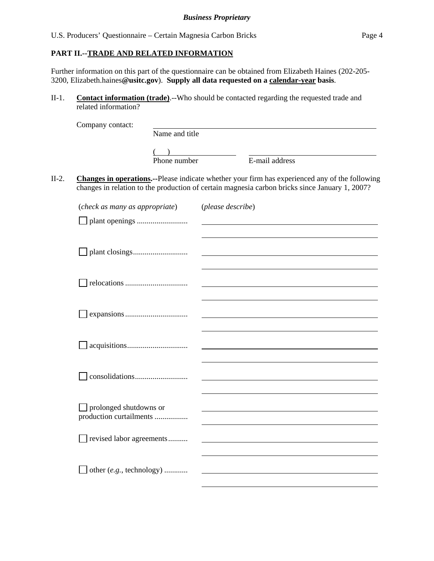## **PART II.--TRADE AND RELATED INFORMATION**

Further information on this part of the questionnaire can be obtained from Elizabeth Haines (202-205- 3200, Elizabeth.haines**@usitc.gov**). **Supply all data requested on a calendar-year basis**.

II-1. **Contact information (trade)**.--Who should be contacted regarding the requested trade and related information?

|         | Company contact:                                  |                |                   |                                                                                                                                                                                                  |
|---------|---------------------------------------------------|----------------|-------------------|--------------------------------------------------------------------------------------------------------------------------------------------------------------------------------------------------|
|         |                                                   | Name and title |                   |                                                                                                                                                                                                  |
|         |                                                   | Phone number   |                   | E-mail address                                                                                                                                                                                   |
| $II-2.$ |                                                   |                |                   | Changes in operations.--Please indicate whether your firm has experienced any of the following<br>changes in relation to the production of certain magnesia carbon bricks since January 1, 2007? |
|         | (check as many as appropriate)                    |                | (please describe) |                                                                                                                                                                                                  |
|         |                                                   |                |                   |                                                                                                                                                                                                  |
|         |                                                   |                |                   |                                                                                                                                                                                                  |
|         |                                                   |                |                   |                                                                                                                                                                                                  |
|         |                                                   |                |                   |                                                                                                                                                                                                  |
|         |                                                   |                |                   |                                                                                                                                                                                                  |
|         |                                                   |                |                   |                                                                                                                                                                                                  |
|         | prolonged shutdowns or<br>production curtailments |                |                   |                                                                                                                                                                                                  |
|         | revised labor agreements                          |                |                   |                                                                                                                                                                                                  |
|         | other (e.g., technology)                          |                |                   |                                                                                                                                                                                                  |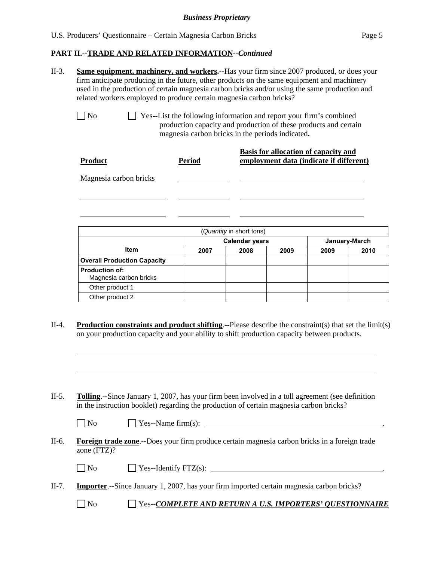l

 $\overline{a}$ 

 $\overline{a}$ 

## **PART II.--TRADE AND RELATED INFORMATION***--Continued*

| $II-3.$ | <b>Same equipment, machinery, and workers.</b> --Has your firm since 2007 produced, or does your |  |  |  |  |
|---------|--------------------------------------------------------------------------------------------------|--|--|--|--|
|         | firm anticipate producing in the future, other products on the same equipment and machinery      |  |  |  |  |
|         | used in the production of certain magnesia carbon bricks and/or using the same production and    |  |  |  |  |
|         | related workers employed to produce certain magnesia carbon bricks?                              |  |  |  |  |
|         |                                                                                                  |  |  |  |  |
|         | $\vert$   No<br>$\Box$ Yes--List the following information and report your firm's combined       |  |  |  |  |
|         | production capacity and production of these products and certain                                 |  |  |  |  |
|         | magnesia carbon bricks in the periods indicated.                                                 |  |  |  |  |
|         |                                                                                                  |  |  |  |  |

| <b>Product</b>         | <b>Period</b> | Basis for allocation of capacity and<br>employment data (indicate if different) |
|------------------------|---------------|---------------------------------------------------------------------------------|
| Magnesia carbon bricks |               |                                                                                 |
|                        |               |                                                                                 |

| (Quantity in short tons)                        |                       |      |      |               |      |
|-------------------------------------------------|-----------------------|------|------|---------------|------|
|                                                 | <b>Calendar years</b> |      |      | January-March |      |
| <b>Item</b>                                     | 2007                  | 2008 | 2009 | 2009          | 2010 |
| <b>Overall Production Capacity</b>              |                       |      |      |               |      |
| <b>Production of:</b><br>Magnesia carbon bricks |                       |      |      |               |      |
| Other product 1                                 |                       |      |      |               |      |
| Other product 2                                 |                       |      |      |               |      |

- II-4. **Production constraints and product shifting**.--Please describe the constraint(s) that set the limit(s) on your production capacity and your ability to shift production capacity between products.
- II-5. **Tolling**.--Since January 1, 2007, has your firm been involved in a toll agreement (see definition in the instruction booklet) regarding the production of certain magnesia carbon bricks?

| $\overline{\phantom{a}}$<br>N0 | Yes--Name $turn(s)$ : |  |
|--------------------------------|-----------------------|--|
|                                |                       |  |

II-6. **Foreign trade zone**.--Does your firm produce certain magnesia carbon bricks in a foreign trade zone (FTZ)?

| $\neg$ No<br>$'$ Yes--Identify FTZ(s): |  |
|----------------------------------------|--|
|----------------------------------------|--|

- II-7. **Importer**.--Since January 1, 2007, has your firm imported certain magnesia carbon bricks?
	- No Yes--*COMPLETE AND RETURN A U.S. IMPORTERS' QUESTIONNAIRE*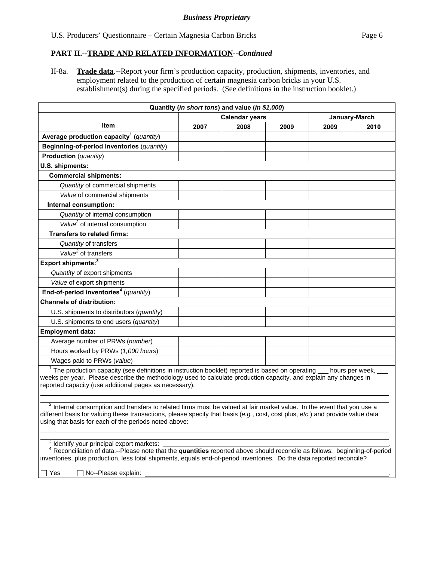## **PART II.--TRADE AND RELATED INFORMATION***--Continued*

II-8a. **Trade data**.--Report your firm's production capacity, production, shipments, inventories, and employment related to the production of certain magnesia carbon bricks in your U.S. establishment(s) during the specified periods. (See definitions in the instruction booklet.)

|                                                                                                                                                                                                                                                                                                                                                                      |                                        | Quantity (in short tons) and value (in \$1,000) |      |                 |      |  |  |  |
|----------------------------------------------------------------------------------------------------------------------------------------------------------------------------------------------------------------------------------------------------------------------------------------------------------------------------------------------------------------------|----------------------------------------|-------------------------------------------------|------|-----------------|------|--|--|--|
|                                                                                                                                                                                                                                                                                                                                                                      | <b>Calendar years</b><br>January-March |                                                 |      |                 |      |  |  |  |
| Item                                                                                                                                                                                                                                                                                                                                                                 | 2007                                   | 2008                                            | 2009 | 2009            | 2010 |  |  |  |
| Average production capacity <sup>1</sup> (quantity)                                                                                                                                                                                                                                                                                                                  |                                        |                                                 |      |                 |      |  |  |  |
| Beginning-of-period inventories (quantity)                                                                                                                                                                                                                                                                                                                           |                                        |                                                 |      |                 |      |  |  |  |
| <b>Production</b> (quantity)                                                                                                                                                                                                                                                                                                                                         |                                        |                                                 |      |                 |      |  |  |  |
| U.S. shipments:                                                                                                                                                                                                                                                                                                                                                      |                                        |                                                 |      |                 |      |  |  |  |
| <b>Commercial shipments:</b>                                                                                                                                                                                                                                                                                                                                         |                                        |                                                 |      |                 |      |  |  |  |
| Quantity of commercial shipments                                                                                                                                                                                                                                                                                                                                     |                                        |                                                 |      |                 |      |  |  |  |
| Value of commercial shipments                                                                                                                                                                                                                                                                                                                                        |                                        |                                                 |      |                 |      |  |  |  |
| Internal consumption:                                                                                                                                                                                                                                                                                                                                                |                                        |                                                 |      |                 |      |  |  |  |
| Quantity of internal consumption                                                                                                                                                                                                                                                                                                                                     |                                        |                                                 |      |                 |      |  |  |  |
| Value <sup>2</sup> of internal consumption                                                                                                                                                                                                                                                                                                                           |                                        |                                                 |      |                 |      |  |  |  |
| <b>Transfers to related firms:</b>                                                                                                                                                                                                                                                                                                                                   |                                        |                                                 |      |                 |      |  |  |  |
| Quantity of transfers                                                                                                                                                                                                                                                                                                                                                |                                        |                                                 |      |                 |      |  |  |  |
| Value <sup>2</sup> of transfers                                                                                                                                                                                                                                                                                                                                      |                                        |                                                 |      |                 |      |  |  |  |
| Export shipments: <sup>3</sup>                                                                                                                                                                                                                                                                                                                                       |                                        |                                                 |      |                 |      |  |  |  |
| Quantity of export shipments                                                                                                                                                                                                                                                                                                                                         |                                        |                                                 |      |                 |      |  |  |  |
| Value of export shipments                                                                                                                                                                                                                                                                                                                                            |                                        |                                                 |      |                 |      |  |  |  |
| End-of-period inventories <sup>4</sup> (quantity)                                                                                                                                                                                                                                                                                                                    |                                        |                                                 |      |                 |      |  |  |  |
| <b>Channels of distribution:</b>                                                                                                                                                                                                                                                                                                                                     |                                        |                                                 |      |                 |      |  |  |  |
| U.S. shipments to distributors (quantity)                                                                                                                                                                                                                                                                                                                            |                                        |                                                 |      |                 |      |  |  |  |
| U.S. shipments to end users (quantity)                                                                                                                                                                                                                                                                                                                               |                                        |                                                 |      |                 |      |  |  |  |
| <b>Employment data:</b>                                                                                                                                                                                                                                                                                                                                              |                                        |                                                 |      |                 |      |  |  |  |
| Average number of PRWs (number)                                                                                                                                                                                                                                                                                                                                      |                                        |                                                 |      |                 |      |  |  |  |
| Hours worked by PRWs (1,000 hours)                                                                                                                                                                                                                                                                                                                                   |                                        |                                                 |      |                 |      |  |  |  |
| Wages paid to PRWs (value)                                                                                                                                                                                                                                                                                                                                           |                                        |                                                 |      |                 |      |  |  |  |
| <sup>1</sup> The production capacity (see definitions in instruction booklet) reported is based on operating<br>weeks per year. Please describe the methodology used to calculate production capacity, and explain any changes in<br>reported capacity (use additional pages as necessary).                                                                          |                                        |                                                 |      | hours per week, |      |  |  |  |
| <sup>2</sup> Internal consumption and transfers to related firms must be valued at fair market value. In the event that you use a<br>different basis for valuing these transactions, please specify that basis (e.g., cost, cost plus, etc.) and provide value data<br>using that basis for each of the periods noted above:                                         |                                        |                                                 |      |                 |      |  |  |  |
| <sup>3</sup> Identify your principal export markets:<br><sup>4</sup> Reconciliation of data.--Please note that the <b>quantities</b> reported above should reconcile as follows: beginning-of-period<br>inventories, plus production, less total shipments, equals end-of-period inventories. Do the data reported reconcile?<br>$\Box$ Yes<br>□ No--Please explain: |                                        |                                                 |      |                 |      |  |  |  |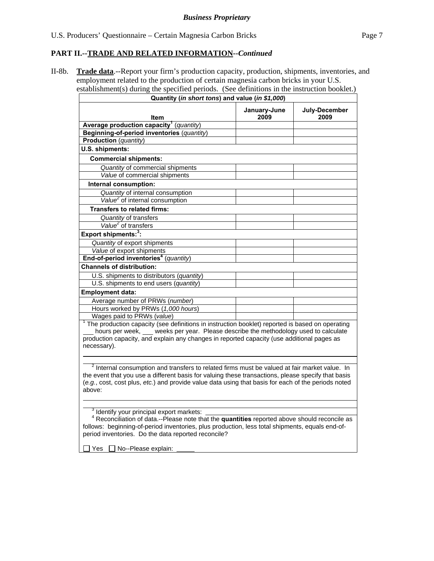## **PART II.--TRADE AND RELATED INFORMATION***--Continued*

II-8b. **Trade data**.--Report your firm's production capacity, production, shipments, inventories, and employment related to the production of certain magnesia carbon bricks in your U.S. establishment(s) during the specified periods. (See definitions in the instruction booklet.)

| Quantity (in short tons) and value (in \$1,000)                                                          |                      |                       |  |
|----------------------------------------------------------------------------------------------------------|----------------------|-----------------------|--|
| Item                                                                                                     | January-June<br>2009 | July-December<br>2009 |  |
| Average production capacity <sup>1</sup> (quantity)                                                      |                      |                       |  |
| Beginning-of-period inventories (quantity)                                                               |                      |                       |  |
| <b>Production</b> (quantity)                                                                             |                      |                       |  |
| U.S. shipments:                                                                                          |                      |                       |  |
| <b>Commercial shipments:</b>                                                                             |                      |                       |  |
| Quantity of commercial shipments                                                                         |                      |                       |  |
| Value of commercial shipments                                                                            |                      |                       |  |
| Internal consumption:                                                                                    |                      |                       |  |
| Quantity of internal consumption                                                                         |                      |                       |  |
| Value <sup>2</sup> of internal consumption                                                               |                      |                       |  |
| <b>Transfers to related firms:</b>                                                                       |                      |                       |  |
| Quantity of transfers                                                                                    |                      |                       |  |
| Value <sup>2</sup> of transfers                                                                          |                      |                       |  |
| Export shipments: <sup>3</sup> :                                                                         |                      |                       |  |
| Quantity of export shipments                                                                             |                      |                       |  |
| Value of export shipments                                                                                |                      |                       |  |
| End-of-period inventories <sup>4</sup> (quantity)                                                        |                      |                       |  |
| <b>Channels of distribution:</b>                                                                         |                      |                       |  |
| U.S. shipments to distributors (quantity)                                                                |                      |                       |  |
| U.S. shipments to end users (quantity)                                                                   |                      |                       |  |
| <b>Employment data:</b>                                                                                  |                      |                       |  |
| Average number of PRWs (number)                                                                          |                      |                       |  |
| Hours worked by PRWs (1,000 hours)                                                                       |                      |                       |  |
| Wages paid to PRWs (value)                                                                               |                      |                       |  |
| The production capacity (see definitions in instruction booklet) reported is based on operating          |                      |                       |  |
| hours per week, __ weeks per year. Please describe the methodology used to calculate                     |                      |                       |  |
| production capacity, and explain any changes in reported capacity (use additional pages as               |                      |                       |  |
| necessary).                                                                                              |                      |                       |  |
|                                                                                                          |                      |                       |  |
| <sup>2</sup> Internal consumption and transfers to related firms must be valued at fair market value. In |                      |                       |  |
| the event that you use a different basis for valuing these transactions, please specify that basis       |                      |                       |  |
| (e.g., cost, cost plus, etc.) and provide value data using that basis for each of the periods noted      |                      |                       |  |
| above:                                                                                                   |                      |                       |  |
|                                                                                                          |                      |                       |  |
| Identify your principal export markets:                                                                  |                      |                       |  |
| <sup>4</sup> Reconciliation of data.--Please note that the quantities reported above should reconcile as |                      |                       |  |
| follows: beginning-of-period inventories, plus production, less total shipments, equals end-of-          |                      |                       |  |
| period inventories. Do the data reported reconcile?                                                      |                      |                       |  |
|                                                                                                          |                      |                       |  |

 $\Box$  Yes  $\Box$  No--Please explain: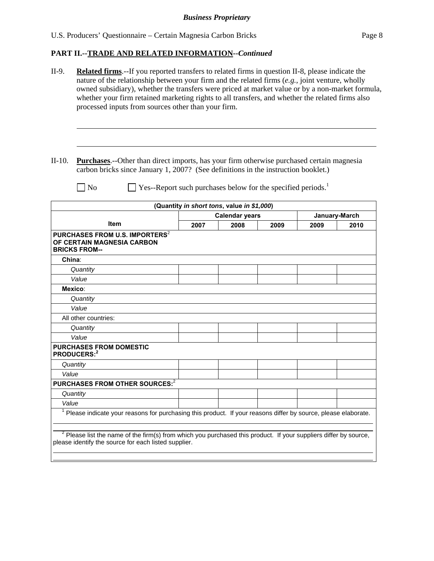# **PART II.--TRADE AND RELATED INFORMATION***--Continued*

| II-9.    | <b>Related firms.</b> --If you reported transfers to related firms in question II-8, please indicate the<br>nature of the relationship between your firm and the related firms $(e.g.,)$ joint venture, wholly<br>owned subsidiary), whether the transfers were priced at market value or by a non-market formula,<br>whether your firm retained marketing rights to all transfers, and whether the related firms also<br>processed inputs from sources other than your firm. |      |                                                                          |      |      |               |
|----------|-------------------------------------------------------------------------------------------------------------------------------------------------------------------------------------------------------------------------------------------------------------------------------------------------------------------------------------------------------------------------------------------------------------------------------------------------------------------------------|------|--------------------------------------------------------------------------|------|------|---------------|
| $II-10.$ | <b>Purchases.</b> --Other than direct imports, has your firm otherwise purchased certain magnesia<br>carbon bricks since January 1, 2007? (See definitions in the instruction booklet.)                                                                                                                                                                                                                                                                                       |      |                                                                          |      |      |               |
|          | No                                                                                                                                                                                                                                                                                                                                                                                                                                                                            |      | Yes--Report such purchases below for the specified periods. <sup>1</sup> |      |      |               |
|          |                                                                                                                                                                                                                                                                                                                                                                                                                                                                               |      | (Quantity in short tons, value in \$1,000)                               |      |      |               |
|          |                                                                                                                                                                                                                                                                                                                                                                                                                                                                               |      | <b>Calendar years</b>                                                    |      |      | January-March |
|          | <b>Item</b>                                                                                                                                                                                                                                                                                                                                                                                                                                                                   | 2007 | 2008                                                                     | 2009 | 2009 | 2010          |
| China:   | <b>BRICKS FROM--</b>                                                                                                                                                                                                                                                                                                                                                                                                                                                          |      |                                                                          |      |      |               |
|          | Quantity                                                                                                                                                                                                                                                                                                                                                                                                                                                                      |      |                                                                          |      |      |               |
|          | Value                                                                                                                                                                                                                                                                                                                                                                                                                                                                         |      |                                                                          |      |      |               |
|          | Mexico:                                                                                                                                                                                                                                                                                                                                                                                                                                                                       |      |                                                                          |      |      |               |
|          | Quantity<br>Value                                                                                                                                                                                                                                                                                                                                                                                                                                                             |      |                                                                          |      |      |               |
|          | All other countries:                                                                                                                                                                                                                                                                                                                                                                                                                                                          |      |                                                                          |      |      |               |
|          | Quantity                                                                                                                                                                                                                                                                                                                                                                                                                                                                      |      |                                                                          |      |      |               |
|          | Value                                                                                                                                                                                                                                                                                                                                                                                                                                                                         |      |                                                                          |      |      |               |
|          | <b>PURCHASES FROM DOMESTIC</b><br>PRODUCERS:2                                                                                                                                                                                                                                                                                                                                                                                                                                 |      |                                                                          |      |      |               |
|          | Quantity                                                                                                                                                                                                                                                                                                                                                                                                                                                                      |      |                                                                          |      |      |               |
| Value    |                                                                                                                                                                                                                                                                                                                                                                                                                                                                               |      |                                                                          |      |      |               |
|          | PURCHASES FROM OTHER SOURCES:2                                                                                                                                                                                                                                                                                                                                                                                                                                                |      |                                                                          |      |      |               |
|          | Quantity                                                                                                                                                                                                                                                                                                                                                                                                                                                                      |      |                                                                          |      |      |               |
| Value    | <sup>1</sup> Please indicate your reasons for purchasing this product. If your reasons differ by source, please elaborate.                                                                                                                                                                                                                                                                                                                                                    |      |                                                                          |      |      |               |
|          | <sup>2</sup> Please list the name of the firm(s) from which you purchased this product. If your suppliers differ by source,<br>please identify the source for each listed supplier.                                                                                                                                                                                                                                                                                           |      |                                                                          |      |      |               |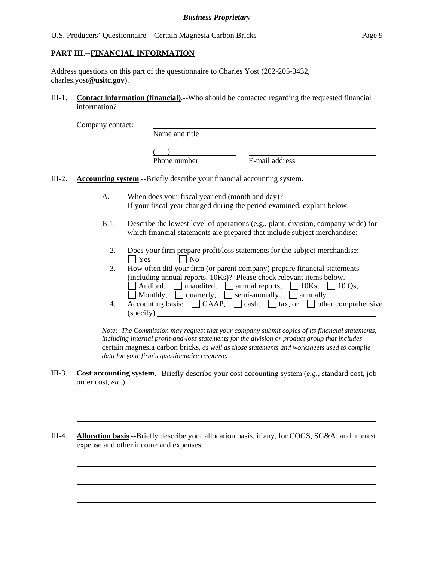## **PART III.--FINANCIAL INFORMATION**

l

l

Address questions on this part of the questionnaire to Charles Yost (202-205-3432, charles.yost**@usitc.gov**).

III-1. **Contact information (financial)**.--Who should be contacted regarding the requested financial information?

Company contact:

l

l

 $\overline{a}$ 

 $\overline{a}$ 

 $\overline{a}$ 

| Name and title |                |  |
|----------------|----------------|--|
|                |                |  |
| Phone number   | E-mail address |  |

- III-2. **Accounting system**.--Briefly describe your financial accounting system.
	- A. When does your fiscal year end (month and day)? If your fiscal year changed during the period examined, explain below:
	- B.1. Describe the lowest level of operations (e.g., plant, division, company-wide) for which financial statements are prepared that include subject merchandise:
		- 2. Does your firm prepare profit/loss statements for the subject merchandise:  $\Box$  Yes  $\Box$  No

 3. How often did your firm (or parent company) prepare financial statements (including annual reports, 10Ks)? Please check relevant items below.  $\Box$  Audited,  $\Box$  unaudited,  $\Box$  annual reports,  $\Box$  10Ks,  $\Box$  10 Os, Monthly, quarterly, semi-annually, annually 4. Accounting basis:  $\Box$  GAAP,  $\Box$  cash,  $\Box$  tax, or  $\Box$  other comprehensive (specify)

*Note: The Commission may request that your company submit copies of its financial statements, including internal profit-and-loss statements for the division or product group that includes*  certain magnesia carbon bricks*, as well as those statements and worksheets used to compile data for your firm's questionnaire response.* 

- III-3. **Cost accounting system**.--Briefly describe your cost accounting system (*e.g.*, standard cost, job order cost, *etc.*).
- III-4. **Allocation basis**.--Briefly describe your allocation basis, if any, for COGS, SG&A, and interest expense and other income and expenses.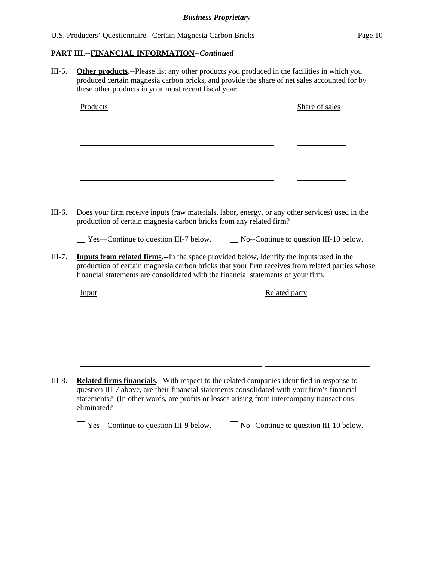III-5. **Other products**.--Please list any other products you produced in the facilities in which you produced certain magnesia carbon bricks, and provide the share of net sales accounted for by these other products in your most recent fiscal year:

| Products                                                            | Share of sales                                                                                                                                                                                                                                                                           |
|---------------------------------------------------------------------|------------------------------------------------------------------------------------------------------------------------------------------------------------------------------------------------------------------------------------------------------------------------------------------|
|                                                                     |                                                                                                                                                                                                                                                                                          |
|                                                                     |                                                                                                                                                                                                                                                                                          |
|                                                                     |                                                                                                                                                                                                                                                                                          |
|                                                                     |                                                                                                                                                                                                                                                                                          |
|                                                                     |                                                                                                                                                                                                                                                                                          |
|                                                                     |                                                                                                                                                                                                                                                                                          |
| production of certain magnesia carbon bricks from any related firm? | Does your firm receive inputs (raw materials, labor, energy, or any other services) used in the                                                                                                                                                                                          |
| $\Box$ Yes—Continue to question III-7 below.                        | $\Box$ No--Continue to question III-10 below.                                                                                                                                                                                                                                            |
|                                                                     | <b>Inputs from related firms.</b> --In the space provided below, identify the inputs used in the<br>production of certain magnesia carbon bricks that your firm receives from related parties whose<br>financial statements are consolidated with the financial statements of your firm. |
|                                                                     |                                                                                                                                                                                                                                                                                          |
| Input                                                               | <b>Related party</b>                                                                                                                                                                                                                                                                     |
|                                                                     |                                                                                                                                                                                                                                                                                          |
|                                                                     |                                                                                                                                                                                                                                                                                          |
|                                                                     |                                                                                                                                                                                                                                                                                          |
|                                                                     |                                                                                                                                                                                                                                                                                          |
|                                                                     |                                                                                                                                                                                                                                                                                          |
|                                                                     | <b>Related firms financials.</b> --With respect to the related companies identified in response to                                                                                                                                                                                       |
|                                                                     | question III-7 above, are their financial statements consolidated with your firm's financial<br>statements? (In other words, are profits or losses arising from intercompany transactions                                                                                                |

□ Yes—Continue to question III-9 below. □ No--Continue to question III-10 below.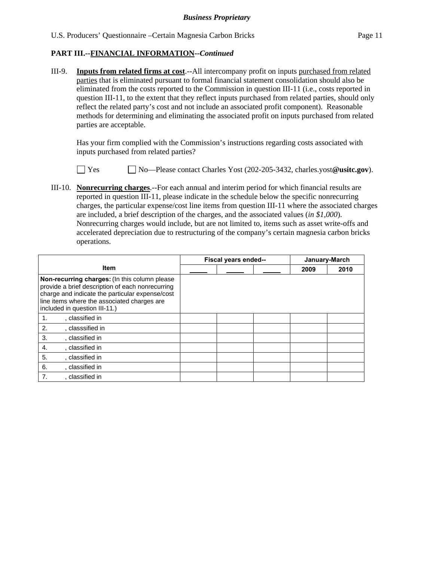III-9. **Inputs from related firms at cost**.--All intercompany profit on inputs purchased from related parties that is eliminated pursuant to formal financial statement consolidation should also be eliminated from the costs reported to the Commission in question III-11 (i.e., costs reported in question III-11, to the extent that they reflect inputs purchased from related parties, should only reflect the related party's cost and not include an associated profit component). Reasonable methods for determining and eliminating the associated profit on inputs purchased from related parties are acceptable.

 Has your firm complied with the Commission's instructions regarding costs associated with inputs purchased from related parties?



Yes No—Please contact Charles Yost (202-205-3432, charles.yost**@usitc.gov**).

III-10. **Nonrecurring charges**.--For each annual and interim period for which financial results are reported in question III-11, please indicate in the schedule below the specific nonrecurring charges, the particular expense/cost line items from question III-11 where the associated charges are included, a brief description of the charges, and the associated values (*in \$1,000*). Nonrecurring charges would include, but are not limited to, items such as asset write-offs and accelerated depreciation due to restructuring of the company's certain magnesia carbon bricks operations.

|                                                                                                                                                                                                                                      | Fiscal years ended-- |  | January-March |      |      |
|--------------------------------------------------------------------------------------------------------------------------------------------------------------------------------------------------------------------------------------|----------------------|--|---------------|------|------|
| <b>Item</b>                                                                                                                                                                                                                          |                      |  |               | 2009 | 2010 |
| Non-recurring charges: (In this column please<br>provide a brief description of each nonrecurring<br>charge and indicate the particular expense/cost<br>line items where the associated charges are<br>included in question III-11.) |                      |  |               |      |      |
| , classified in<br>1.                                                                                                                                                                                                                |                      |  |               |      |      |
| 2.<br>, classsified in                                                                                                                                                                                                               |                      |  |               |      |      |
| 3.<br>, classified in                                                                                                                                                                                                                |                      |  |               |      |      |
| 4.<br>. classified in                                                                                                                                                                                                                |                      |  |               |      |      |
| 5.<br>, classified in                                                                                                                                                                                                                |                      |  |               |      |      |
| 6.<br>, classified in                                                                                                                                                                                                                |                      |  |               |      |      |
| 7.<br>. classified in                                                                                                                                                                                                                |                      |  |               |      |      |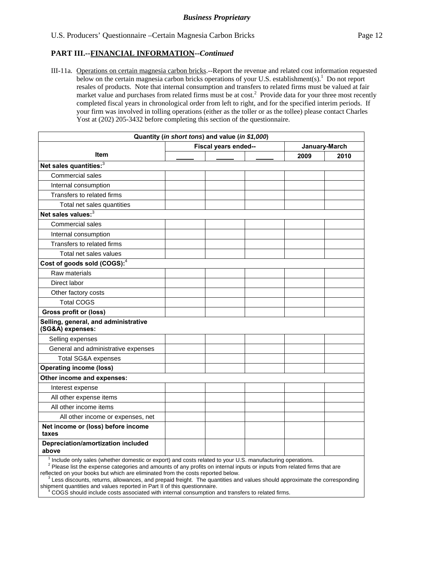III-11a. Operations on certain magnesia carbon bricks.--Report the revenue and related cost information requested below on the certain magnesia carbon bricks operations of your U.S. establishment(s).<sup>1</sup> Do not report resales of products. Note that internal consumption and transfers to related firms must be valued at fair market value and purchases from related firms must be at cost.<sup>2</sup> Provide data for your three most recently completed fiscal years in chronological order from left to right, and for the specified interim periods. If your firm was involved in tolling operations (either as the toller or as the tollee) please contact Charles Yost at (202) 205-3432 before completing this section of the questionnaire.

|                                                          | Quantity (in short tons) and value (in \$1,000) |      |               |  |  |
|----------------------------------------------------------|-------------------------------------------------|------|---------------|--|--|
|                                                          | Fiscal years ended--                            |      | January-March |  |  |
| <b>Item</b>                                              |                                                 | 2009 | 2010          |  |  |
| Net sales quantities: <sup>3</sup>                       |                                                 |      |               |  |  |
| <b>Commercial sales</b>                                  |                                                 |      |               |  |  |
| Internal consumption                                     |                                                 |      |               |  |  |
| Transfers to related firms                               |                                                 |      |               |  |  |
| Total net sales quantities                               |                                                 |      |               |  |  |
| Net sales values: <sup>3</sup>                           |                                                 |      |               |  |  |
| <b>Commercial sales</b>                                  |                                                 |      |               |  |  |
| Internal consumption                                     |                                                 |      |               |  |  |
| Transfers to related firms                               |                                                 |      |               |  |  |
| Total net sales values                                   |                                                 |      |               |  |  |
| Cost of goods sold (COGS): <sup>4</sup>                  |                                                 |      |               |  |  |
| Raw materials                                            |                                                 |      |               |  |  |
| Direct labor                                             |                                                 |      |               |  |  |
| Other factory costs                                      |                                                 |      |               |  |  |
| <b>Total COGS</b>                                        |                                                 |      |               |  |  |
| Gross profit or (loss)                                   |                                                 |      |               |  |  |
| Selling, general, and administrative<br>(SG&A) expenses: |                                                 |      |               |  |  |
| Selling expenses                                         |                                                 |      |               |  |  |
| General and administrative expenses                      |                                                 |      |               |  |  |
| Total SG&A expenses                                      |                                                 |      |               |  |  |
| <b>Operating income (loss)</b>                           |                                                 |      |               |  |  |
| Other income and expenses:                               |                                                 |      |               |  |  |
| Interest expense                                         |                                                 |      |               |  |  |
| All other expense items                                  |                                                 |      |               |  |  |
| All other income items                                   |                                                 |      |               |  |  |
| All other income or expenses, net                        |                                                 |      |               |  |  |
| Net income or (loss) before income<br>taxes              |                                                 |      |               |  |  |
| Depreciation/amortization included<br>above              |                                                 |      |               |  |  |

 $\overline{1}$ Include only sales (whether domestic or export) and costs related to your U.S. manufacturing operations.

<sup>2</sup> Please list the expense categories and amounts of any profits on internal inputs or inputs from related firms that are reflected on your books but which are eliminated from the costs reported below.

 <sup>3</sup> Less discounts, returns, allowances, and prepaid freight. The quantities and values should approximate the corresponding shipment quantities and values reported in Part II of this questionnaire.

 <sup>4</sup> COGS should include costs associated with internal consumption and transfers to related firms.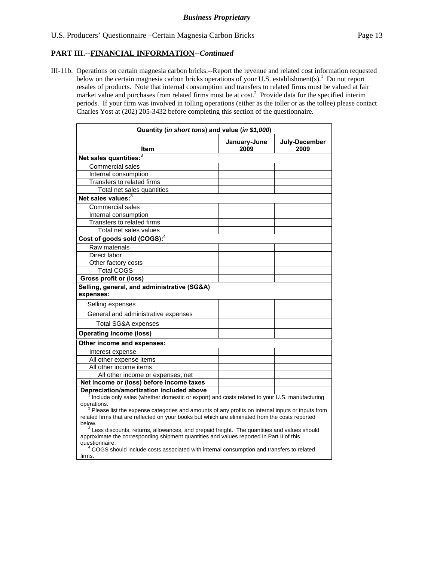III-11b. Operations on certain magnesia carbon bricks.--Report the revenue and related cost information requested below on the certain magnesia carbon bricks operations of your U.S. establishment(s).<sup>1</sup> Do not report resales of products. Note that internal consumption and transfers to related firms must be valued at fair market value and purchases from related firms must be at cost.<sup>2</sup> Provide data for the specified interim periods. If your firm was involved in tolling operations (either as the toller or as the tollee) please contact Charles Yost at (202) 205-3432 before completing this section of the questionnaire.

| Quantity (in short tons) and value (in \$1,000)                                                                                                                                                                                                                                                                                                                                                                                   |                      |                       |  |  |
|-----------------------------------------------------------------------------------------------------------------------------------------------------------------------------------------------------------------------------------------------------------------------------------------------------------------------------------------------------------------------------------------------------------------------------------|----------------------|-----------------------|--|--|
| Item                                                                                                                                                                                                                                                                                                                                                                                                                              | January-June<br>2009 | July-December<br>2009 |  |  |
| Net sales quantities: $3$                                                                                                                                                                                                                                                                                                                                                                                                         |                      |                       |  |  |
| Commercial sales                                                                                                                                                                                                                                                                                                                                                                                                                  |                      |                       |  |  |
| Internal consumption                                                                                                                                                                                                                                                                                                                                                                                                              |                      |                       |  |  |
| Transfers to related firms                                                                                                                                                                                                                                                                                                                                                                                                        |                      |                       |  |  |
| Total net sales quantities                                                                                                                                                                                                                                                                                                                                                                                                        |                      |                       |  |  |
| Net sales values: <sup>3</sup>                                                                                                                                                                                                                                                                                                                                                                                                    |                      |                       |  |  |
| <b>Commercial sales</b>                                                                                                                                                                                                                                                                                                                                                                                                           |                      |                       |  |  |
| Internal consumption                                                                                                                                                                                                                                                                                                                                                                                                              |                      |                       |  |  |
| Transfers to related firms                                                                                                                                                                                                                                                                                                                                                                                                        |                      |                       |  |  |
| Total net sales values                                                                                                                                                                                                                                                                                                                                                                                                            |                      |                       |  |  |
| Cost of goods sold (COGS): <sup>4</sup>                                                                                                                                                                                                                                                                                                                                                                                           |                      |                       |  |  |
| Raw materials                                                                                                                                                                                                                                                                                                                                                                                                                     |                      |                       |  |  |
| Direct labor                                                                                                                                                                                                                                                                                                                                                                                                                      |                      |                       |  |  |
| Other factory costs                                                                                                                                                                                                                                                                                                                                                                                                               |                      |                       |  |  |
| <b>Total COGS</b>                                                                                                                                                                                                                                                                                                                                                                                                                 |                      |                       |  |  |
| <b>Gross profit or (loss)</b>                                                                                                                                                                                                                                                                                                                                                                                                     |                      |                       |  |  |
| Selling, general, and administrative (SG&A)<br>expenses:                                                                                                                                                                                                                                                                                                                                                                          |                      |                       |  |  |
| Selling expenses                                                                                                                                                                                                                                                                                                                                                                                                                  |                      |                       |  |  |
| General and administrative expenses                                                                                                                                                                                                                                                                                                                                                                                               |                      |                       |  |  |
| <b>Total SG&amp;A expenses</b>                                                                                                                                                                                                                                                                                                                                                                                                    |                      |                       |  |  |
| <b>Operating income (loss)</b>                                                                                                                                                                                                                                                                                                                                                                                                    |                      |                       |  |  |
| Other income and expenses:                                                                                                                                                                                                                                                                                                                                                                                                        |                      |                       |  |  |
| Interest expense                                                                                                                                                                                                                                                                                                                                                                                                                  |                      |                       |  |  |
| All other expense items                                                                                                                                                                                                                                                                                                                                                                                                           |                      |                       |  |  |
| All other income items                                                                                                                                                                                                                                                                                                                                                                                                            |                      |                       |  |  |
| All other income or expenses, net                                                                                                                                                                                                                                                                                                                                                                                                 |                      |                       |  |  |
| Net income or (loss) before income taxes                                                                                                                                                                                                                                                                                                                                                                                          |                      |                       |  |  |
| Depreciation/amortization included above                                                                                                                                                                                                                                                                                                                                                                                          |                      |                       |  |  |
| Include only sales (whether domestic or export) and costs related to your U.S. manufacturing<br>operations.<br>$2$ Please list the expense categories and amounts of any profits on internal inputs or inputs from                                                                                                                                                                                                                |                      |                       |  |  |
| related firms that are reflected on your books but which are eliminated from the costs reported<br>below.<br>$3$ Less discounts, returns, allowances, and prepaid freight. The quantities and values should<br>approximate the corresponding shipment quantities and values reported in Part II of this<br>questionnaire.<br><sup>4</sup> COGS should include costs associated with internal consumption and transfers to related |                      |                       |  |  |
| firms.                                                                                                                                                                                                                                                                                                                                                                                                                            |                      |                       |  |  |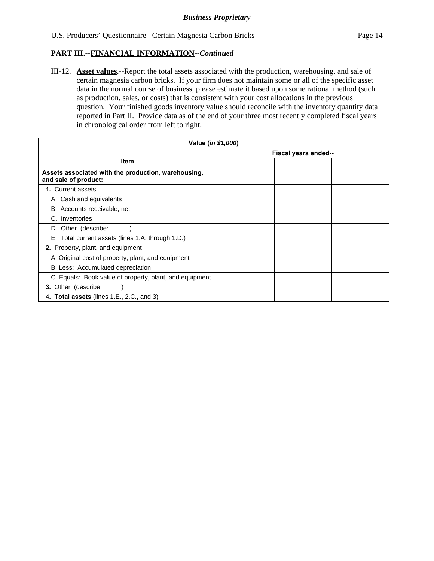III-12. **Asset values**.--Report the total assets associated with the production, warehousing, and sale of certain magnesia carbon bricks. If your firm does not maintain some or all of the specific asset data in the normal course of business, please estimate it based upon some rational method (such as production, sales, or costs) that is consistent with your cost allocations in the previous question. Your finished goods inventory value should reconcile with the inventory quantity data reported in Part II. Provide data as of the end of your three most recently completed fiscal years in chronological order from left to right.

| Value ( <i>in \$1,000</i> )                                                 |  |  |  |  |
|-----------------------------------------------------------------------------|--|--|--|--|
| Fiscal years ended--                                                        |  |  |  |  |
| <b>Item</b>                                                                 |  |  |  |  |
| Assets associated with the production, warehousing,<br>and sale of product: |  |  |  |  |
| 1. Current assets:                                                          |  |  |  |  |
| A. Cash and equivalents                                                     |  |  |  |  |
| B. Accounts receivable, net                                                 |  |  |  |  |
| C. Inventories                                                              |  |  |  |  |
| D. Other (describe: ______)                                                 |  |  |  |  |
| E. Total current assets (lines 1.A. through 1.D.)                           |  |  |  |  |
| 2. Property, plant, and equipment                                           |  |  |  |  |
| A. Original cost of property, plant, and equipment                          |  |  |  |  |
| B. Less: Accumulated depreciation                                           |  |  |  |  |
| C. Equals: Book value of property, plant, and equipment                     |  |  |  |  |
| 3. Other (describe: _____                                                   |  |  |  |  |
| 4. Total assets (lines 1.E., 2.C., and 3)                                   |  |  |  |  |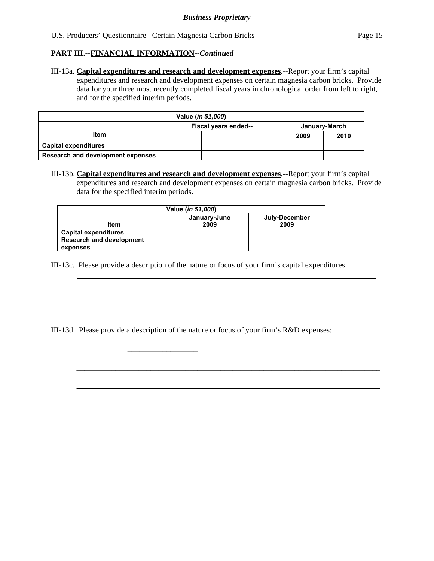$\overline{a}$ 

 $\overline{a}$ 

III-13a. **Capital expenditures and research and development expenses**.--Report your firm's capital expenditures and research and development expenses on certain magnesia carbon bricks. Provide data for your three most recently completed fiscal years in chronological order from left to right, and for the specified interim periods.

| Value (in \$1,000)                |                                       |  |  |      |      |
|-----------------------------------|---------------------------------------|--|--|------|------|
|                                   | Fiscal years ended--<br>January-March |  |  |      |      |
| Item                              |                                       |  |  | 2009 | 2010 |
| <b>Capital expenditures</b>       |                                       |  |  |      |      |
| Research and development expenses |                                       |  |  |      |      |

III-13b. **Capital expenditures and research and development expenses**.--Report your firm's capital expenditures and research and development expenses on certain magnesia carbon bricks. Provide data for the specified interim periods.

| Value (in \$1,000)              |                      |                       |  |  |  |  |
|---------------------------------|----------------------|-----------------------|--|--|--|--|
| Item                            | January-June<br>2009 | July-December<br>2009 |  |  |  |  |
| <b>Capital expenditures</b>     |                      |                       |  |  |  |  |
| <b>Research and development</b> |                      |                       |  |  |  |  |
| expenses                        |                      |                       |  |  |  |  |

III-13c. Please provide a description of the nature or focus of your firm's capital expenditures

III-13d. Please provide a description of the nature or focus of your firm's R&D expenses:

\_\_\_\_\_\_\_\_\_\_\_\_\_\_\_\_\_\_\_\_\_\_\_\_\_\_\_\_\_\_\_\_\_\_\_\_\_\_\_\_\_\_\_\_\_\_\_\_\_\_\_\_\_\_\_\_\_\_\_\_\_\_\_\_\_\_\_\_\_\_\_\_\_\_\_\_\_\_

\_\_\_\_\_\_\_\_\_\_\_\_\_\_\_\_\_\_\_\_\_\_\_\_\_\_\_\_\_\_\_\_\_\_\_\_\_\_\_\_\_\_\_\_\_\_\_\_\_\_\_\_\_\_\_\_\_\_\_\_\_\_\_\_\_\_\_\_\_\_\_\_\_\_\_\_\_\_

\_\_\_\_\_\_\_\_\_\_\_\_\_\_\_\_\_\_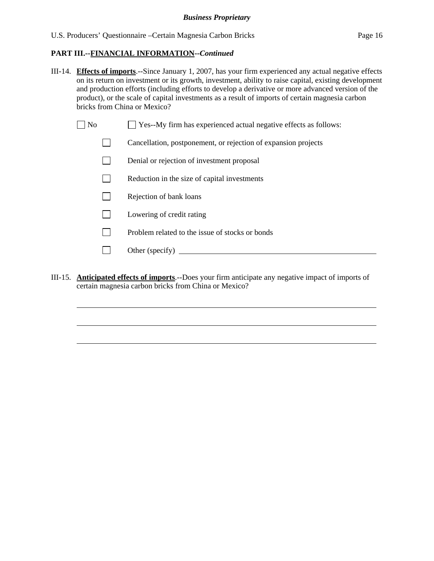- III-14. **Effects of imports**.--Since January 1, 2007, has your firm experienced any actual negative effects on its return on investment or its growth, investment, ability to raise capital, existing development and production efforts (including efforts to develop a derivative or more advanced version of the product), or the scale of capital investments as a result of imports of certain magnesia carbon bricks from China or Mexico?
	- $\Box$  No  $\Box$  Yes--My firm has experienced actual negative effects as follows:
		- Cancellation, postponement, or rejection of expansion projects
		- Denial or rejection of investment proposal
		- $\Box$  Reduction in the size of capital investments
		- $\Box$  Rejection of bank loans
		- **Lowering of credit rating**

l

 $\overline{a}$ 

 $\overline{a}$ 

- $\n$  Problem related to the issue of stocks or bonds
- Other (specify)  $\Box$
- III-15. **Anticipated effects of imports**.--Does your firm anticipate any negative impact of imports of certain magnesia carbon bricks from China or Mexico?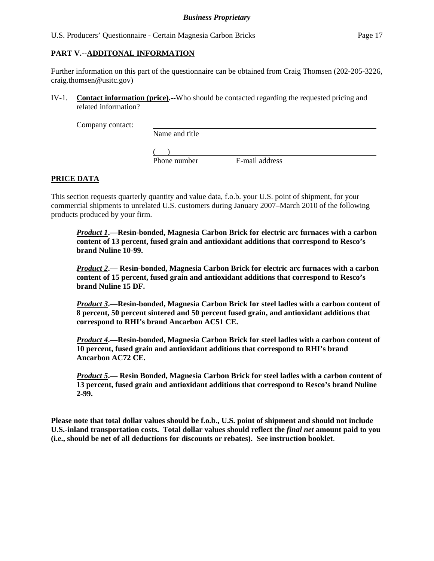## **PART V.--ADDITONAL INFORMATION**

Further information on this part of the questionnaire can be obtained from Craig Thomsen (202-205-3226, craig.thomsen@usitc.gov)

IV-1. **Contact information (price).--**Who should be contacted regarding the requested pricing and related information?

Company contact:

Name and title

 $($ 

Phone number E-mail address

## **PRICE DATA**

This section requests quarterly quantity and value data, f.o.b. your U.S. point of shipment, for your commercial shipments to unrelated U.S. customers during January 2007–March 2010 of the following products produced by your firm.

*Product 1***.—Resin-bonded, Magnesia Carbon Brick for electric arc furnaces with a carbon content of 13 percent, fused grain and antioxidant additions that correspond to Resco's brand Nuline 10-99.** 

*Product 2***.— Resin-bonded, Magnesia Carbon Brick for electric arc furnaces with a carbon content of 15 percent, fused grain and antioxidant additions that correspond to Resco's brand Nuline 15 DF.** 

*Product 3***.—Resin-bonded, Magnesia Carbon Brick for steel ladles with a carbon content of 8 percent, 50 percent sintered and 50 percent fused grain, and antioxidant additions that correspond to RHI's brand Ancarbon AC51 CE.** 

*Product 4***.—Resin-bonded, Magnesia Carbon Brick for steel ladles with a carbon content of 10 percent, fused grain and antioxidant additions that correspond to RHI's brand Ancarbon AC72 CE.** 

*Product 5***.— Resin Bonded, Magnesia Carbon Brick for steel ladles with a carbon content of 13 percent, fused grain and antioxidant additions that correspond to Resco's brand Nuline 2-99.** 

**Please note that total dollar values should be f.o.b., U.S. point of shipment and should not include U.S.-inland transportation costs. Total dollar values should reflect the** *final net* **amount paid to you (i.e., should be net of all deductions for discounts or rebates). See instruction booklet**.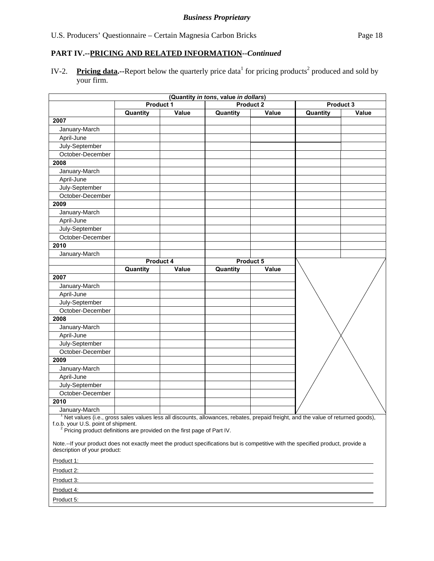IV-2. Pricing data.--Report below the quarterly price data<sup>1</sup> for pricing products<sup>2</sup> produced and sold by your firm.

|                                                                                                                                                                                                                                                                |          |           | (Quantity in tons, value in dollars) |                  |          |           |
|----------------------------------------------------------------------------------------------------------------------------------------------------------------------------------------------------------------------------------------------------------------|----------|-----------|--------------------------------------|------------------|----------|-----------|
|                                                                                                                                                                                                                                                                |          | Product 1 |                                      | <b>Product 2</b> |          | Product 3 |
|                                                                                                                                                                                                                                                                | Quantity | Value     | Quantity                             | Value            | Quantity | Value     |
| 2007                                                                                                                                                                                                                                                           |          |           |                                      |                  |          |           |
| January-March                                                                                                                                                                                                                                                  |          |           |                                      |                  |          |           |
| April-June                                                                                                                                                                                                                                                     |          |           |                                      |                  |          |           |
| July-September                                                                                                                                                                                                                                                 |          |           |                                      |                  |          |           |
| October-December                                                                                                                                                                                                                                               |          |           |                                      |                  |          |           |
| 2008                                                                                                                                                                                                                                                           |          |           |                                      |                  |          |           |
| January-March                                                                                                                                                                                                                                                  |          |           |                                      |                  |          |           |
| April-June                                                                                                                                                                                                                                                     |          |           |                                      |                  |          |           |
| July-September                                                                                                                                                                                                                                                 |          |           |                                      |                  |          |           |
| October-December                                                                                                                                                                                                                                               |          |           |                                      |                  |          |           |
| 2009                                                                                                                                                                                                                                                           |          |           |                                      |                  |          |           |
| January-March                                                                                                                                                                                                                                                  |          |           |                                      |                  |          |           |
| April-June                                                                                                                                                                                                                                                     |          |           |                                      |                  |          |           |
| July-September                                                                                                                                                                                                                                                 |          |           |                                      |                  |          |           |
| October-December                                                                                                                                                                                                                                               |          |           |                                      |                  |          |           |
| 2010                                                                                                                                                                                                                                                           |          |           |                                      |                  |          |           |
| January-March                                                                                                                                                                                                                                                  |          |           |                                      |                  |          |           |
|                                                                                                                                                                                                                                                                |          | Product 4 |                                      | Product 5        |          |           |
|                                                                                                                                                                                                                                                                | Quantity | Value     | Quantity                             | Value            |          |           |
| 2007                                                                                                                                                                                                                                                           |          |           |                                      |                  |          |           |
| January-March                                                                                                                                                                                                                                                  |          |           |                                      |                  |          |           |
| April-June                                                                                                                                                                                                                                                     |          |           |                                      |                  |          |           |
| July-September                                                                                                                                                                                                                                                 |          |           |                                      |                  |          |           |
| October-December                                                                                                                                                                                                                                               |          |           |                                      |                  |          |           |
| 2008                                                                                                                                                                                                                                                           |          |           |                                      |                  |          |           |
| January-March                                                                                                                                                                                                                                                  |          |           |                                      |                  |          |           |
| April-June                                                                                                                                                                                                                                                     |          |           |                                      |                  |          |           |
| July-September                                                                                                                                                                                                                                                 |          |           |                                      |                  |          |           |
| October-December                                                                                                                                                                                                                                               |          |           |                                      |                  |          |           |
| 2009                                                                                                                                                                                                                                                           |          |           |                                      |                  |          |           |
| January-March                                                                                                                                                                                                                                                  |          |           |                                      |                  |          |           |
| April-June                                                                                                                                                                                                                                                     |          |           |                                      |                  |          |           |
| July-September                                                                                                                                                                                                                                                 |          |           |                                      |                  |          |           |
| October-December                                                                                                                                                                                                                                               |          |           |                                      |                  |          |           |
| 2010                                                                                                                                                                                                                                                           |          |           |                                      |                  |          |           |
| January-March                                                                                                                                                                                                                                                  |          |           |                                      |                  |          |           |
| The values (i.e., gross sales values less all discounts, allowances, rebates, prepaid freight, and the value of returned goods),<br>f.o.b. your U.S. point of shipment.<br><sup>2</sup> Pricing product definitions are provided on the first page of Part IV. |          |           |                                      |                  |          |           |
| Note.--If your product does not exactly meet the product specifications but is competitive with the specified product, provide a<br>description of your product:                                                                                               |          |           |                                      |                  |          |           |
|                                                                                                                                                                                                                                                                |          |           |                                      |                  |          |           |
| Product 2:                                                                                                                                                                                                                                                     |          |           |                                      |                  |          |           |
| Product 3:                                                                                                                                                                                                                                                     |          |           |                                      |                  |          |           |
| Product 4:                                                                                                                                                                                                                                                     |          |           |                                      |                  |          |           |
| Product 5:                                                                                                                                                                                                                                                     |          |           |                                      |                  |          |           |
|                                                                                                                                                                                                                                                                |          |           |                                      |                  |          |           |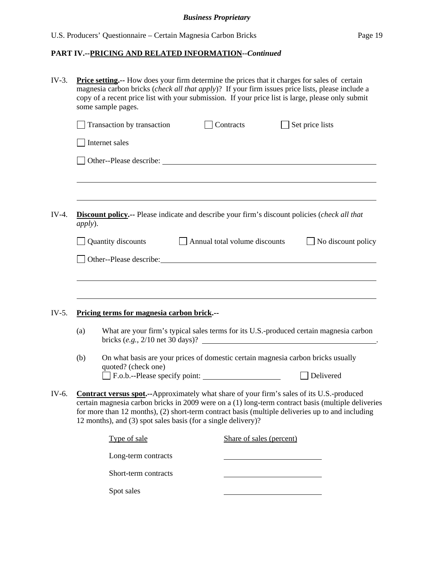| $IV-3.$ |         | Price setting.-- How does your firm determine the prices that it charges for sales of certain<br>magnesia carbon bricks ( <i>check all that apply</i> )? If your firm issues price lists, please include a<br>copy of a recent price list with your submission. If your price list is large, please only submit<br>some sample pages.                                        |                               |                          |                 |                           |
|---------|---------|------------------------------------------------------------------------------------------------------------------------------------------------------------------------------------------------------------------------------------------------------------------------------------------------------------------------------------------------------------------------------|-------------------------------|--------------------------|-----------------|---------------------------|
|         |         | Transaction by transaction                                                                                                                                                                                                                                                                                                                                                   |                               | Contracts                | Set price lists |                           |
|         |         | Internet sales                                                                                                                                                                                                                                                                                                                                                               |                               |                          |                 |                           |
|         |         |                                                                                                                                                                                                                                                                                                                                                                              |                               |                          |                 |                           |
|         |         |                                                                                                                                                                                                                                                                                                                                                                              |                               |                          |                 |                           |
| $IV-4.$ | apply). | <b>Discount policy.--</b> Please indicate and describe your firm's discount policies (check all that                                                                                                                                                                                                                                                                         |                               |                          |                 |                           |
|         |         | Quantity discounts                                                                                                                                                                                                                                                                                                                                                           | Annual total volume discounts |                          |                 | $\Box$ No discount policy |
|         |         | Other--Please describe:                                                                                                                                                                                                                                                                                                                                                      |                               |                          |                 |                           |
|         |         |                                                                                                                                                                                                                                                                                                                                                                              |                               |                          |                 |                           |
|         |         |                                                                                                                                                                                                                                                                                                                                                                              |                               |                          |                 |                           |
| IV-5.   |         | Pricing terms for magnesia carbon brick.--                                                                                                                                                                                                                                                                                                                                   |                               |                          |                 |                           |
|         | (a)     | What are your firm's typical sales terms for its U.S.-produced certain magnesia carbon<br>bricks $(e.g., 2/10$ net 30 days)?                                                                                                                                                                                                                                                 |                               |                          |                 |                           |
|         | (b)     | On what basis are your prices of domestic certain magnesia carbon bricks usually<br>quoted? (check one)                                                                                                                                                                                                                                                                      |                               |                          |                 |                           |
|         |         | F.o.b.--Please specify point:                                                                                                                                                                                                                                                                                                                                                |                               |                          |                 | Delivered                 |
| IV-6.   |         | <b>Contract versus spot.</b> --Approximately what share of your firm's sales of its U.S.-produced<br>certain magnesia carbon bricks in 2009 were on a (1) long-term contract basis (multiple deliveries<br>for more than 12 months), (2) short-term contract basis (multiple deliveries up to and including<br>12 months), and (3) spot sales basis (for a single delivery)? |                               |                          |                 |                           |
|         |         | Type of sale                                                                                                                                                                                                                                                                                                                                                                 |                               | Share of sales (percent) |                 |                           |
|         |         | Long-term contracts                                                                                                                                                                                                                                                                                                                                                          |                               |                          |                 |                           |
|         |         | Short-term contracts                                                                                                                                                                                                                                                                                                                                                         |                               |                          |                 |                           |
|         |         | Spot sales                                                                                                                                                                                                                                                                                                                                                                   |                               |                          |                 |                           |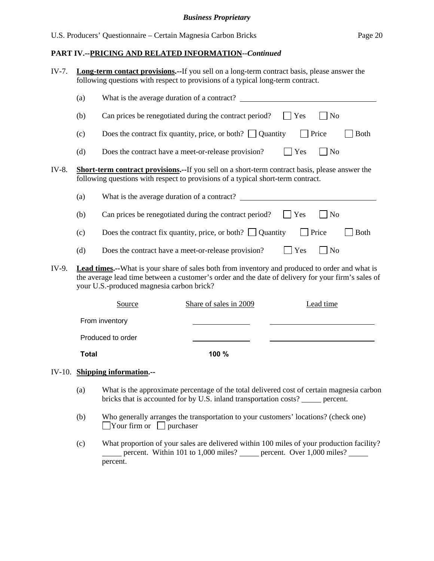| IV-7. |              | <b>Long-term contact provisions.</b> --If you sell on a long-term contract basis, please answer the<br>following questions with respect to provisions of a typical long-term contract. |                                                                                                                                                                                                              |     |                |             |  |
|-------|--------------|----------------------------------------------------------------------------------------------------------------------------------------------------------------------------------------|--------------------------------------------------------------------------------------------------------------------------------------------------------------------------------------------------------------|-----|----------------|-------------|--|
|       | (a)          |                                                                                                                                                                                        |                                                                                                                                                                                                              |     |                |             |  |
|       | (b)          |                                                                                                                                                                                        | Can prices be renegotiated during the contract period?                                                                                                                                                       | Yes | N <sub>o</sub> |             |  |
|       | (c)          |                                                                                                                                                                                        | Does the contract fix quantity, price, or both? $\Box$ Quantity                                                                                                                                              |     | Price          | <b>Both</b> |  |
|       | (d)          |                                                                                                                                                                                        | Does the contract have a meet-or-release provision?                                                                                                                                                          | Yes | No             |             |  |
| IV-8. |              |                                                                                                                                                                                        | <b>Short-term contract provisions.--</b> If you sell on a short-term contract basis, please answer the<br>following questions with respect to provisions of a typical short-term contract.                   |     |                |             |  |
|       | (a)          |                                                                                                                                                                                        | What is the average duration of a contract?                                                                                                                                                                  |     |                |             |  |
|       | (b)          |                                                                                                                                                                                        | Can prices be renegotiated during the contract period?                                                                                                                                                       | Yes | N <sub>o</sub> |             |  |
|       | (c)          |                                                                                                                                                                                        | Does the contract fix quantity, price, or both? $\Box$ Quantity                                                                                                                                              |     | Price          | Both        |  |
|       | (d)          |                                                                                                                                                                                        | Does the contract have a meet-or-release provision?                                                                                                                                                          | Yes | N <sub>o</sub> |             |  |
| IV-9. |              | your U.S.-produced magnesia carbon brick?                                                                                                                                              | <b>Lead times.--</b> What is your share of sales both from inventory and produced to order and what is<br>the average lead time between a customer's order and the date of delivery for your firm's sales of |     |                |             |  |
|       |              | Source                                                                                                                                                                                 | Share of sales in 2009                                                                                                                                                                                       |     | Lead time      |             |  |
|       |              | From inventory                                                                                                                                                                         |                                                                                                                                                                                                              |     |                |             |  |
|       |              | Produced to order                                                                                                                                                                      |                                                                                                                                                                                                              |     |                |             |  |
|       | <b>Total</b> |                                                                                                                                                                                        | 100 %                                                                                                                                                                                                        |     |                |             |  |

## IV-10. **Shipping information.--**

- (a) What is the approximate percentage of the total delivered cost of certain magnesia carbon bricks that is accounted for by U.S. inland transportation costs? \_\_\_\_\_ percent.
- (b) Who generally arranges the transportation to your customers' locations? (check one)  $\Box$ Your firm or  $\Box$  purchaser
- (c) What proportion of your sales are delivered within 100 miles of your production facility? percent. Within 101 to 1,000 miles? percent. Over  $1,000$  miles? percent.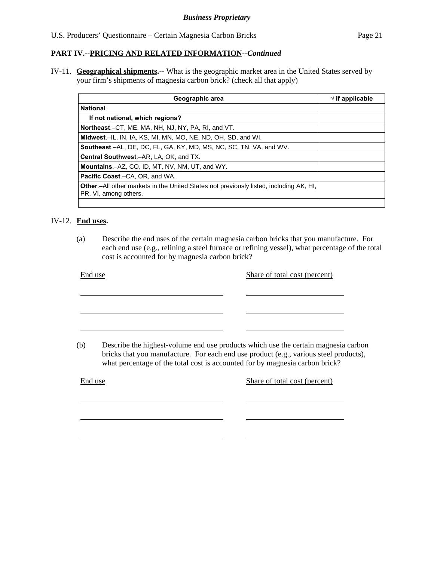IV-11. **Geographical shipments.--** What is the geographic market area in the United States served by your firm's shipments of magnesia carbon brick? (check all that apply)

| Geographic area                                                                                                         | $\sqrt{}$ if applicable |
|-------------------------------------------------------------------------------------------------------------------------|-------------------------|
| <b>National</b>                                                                                                         |                         |
| If not national, which regions?                                                                                         |                         |
| Northeast.–CT, ME, MA, NH, NJ, NY, PA, RI, and VT.                                                                      |                         |
| Midwest.-IL, IN, IA, KS, MI, MN, MO, NE, ND, OH, SD, and WI.                                                            |                         |
| Southeast.-AL, DE, DC, FL, GA, KY, MD, MS, NC, SC, TN, VA, and WV.                                                      |                         |
| Central Southwest.-AR, LA, OK, and TX.                                                                                  |                         |
| <b>Mountains.-AZ, CO, ID, MT, NV, NM, UT, and WY.</b>                                                                   |                         |
| <b>Pacific Coast.–CA, OR, and WA.</b>                                                                                   |                         |
| <b>Other.</b> —All other markets in the United States not previously listed, including AK, HI,<br>PR, VI, among others. |                         |
|                                                                                                                         |                         |

## IV-12. **End uses.**

l

l

(a) Describe the end uses of the certain magnesia carbon bricks that you manufacture. For each end use (e.g., relining a steel furnace or refining vessel), what percentage of the total cost is accounted for by magnesia carbon brick?

| End use | Share of total cost (percent)                                                                                                                                                                                                                               |
|---------|-------------------------------------------------------------------------------------------------------------------------------------------------------------------------------------------------------------------------------------------------------------|
|         |                                                                                                                                                                                                                                                             |
|         |                                                                                                                                                                                                                                                             |
| (b)     | Describe the highest-volume end use products which use the certain magnesia carbon<br>bricks that you manufacture. For each end use product (e.g., various steel products),<br>what percentage of the total cost is accounted for by magnesia carbon brick? |
| End use | Share of total cost (percent)                                                                                                                                                                                                                               |
|         |                                                                                                                                                                                                                                                             |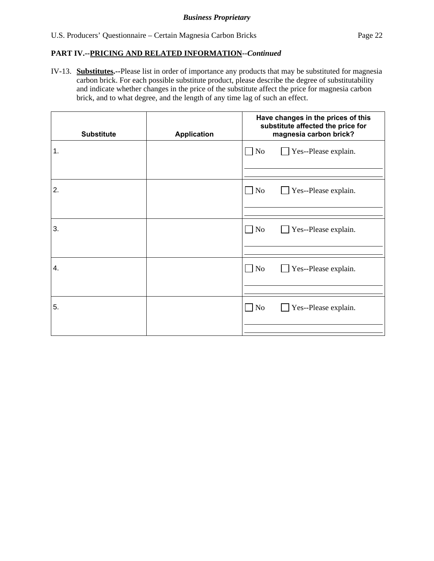IV-13. **Substitutes.--**Please list in order of importance any products that may be substituted for magnesia carbon brick. For each possible substitute product, please describe the degree of substitutability and indicate whether changes in the price of the substitute affect the price for magnesia carbon brick, and to what degree, and the length of any time lag of such an effect.

| <b>Substitute</b> | <b>Application</b> | Have changes in the prices of this<br>substitute affected the price for<br>magnesia carbon brick? |
|-------------------|--------------------|---------------------------------------------------------------------------------------------------|
| 1.                |                    | Yes--Please explain.<br>$\Box$ No                                                                 |
| 2.                |                    | $\Box$ No<br>Yes--Please explain.                                                                 |
| 3.                |                    | $\Box$ No<br>Yes--Please explain.                                                                 |
| 4.                |                    | $\Box$ No<br>Yes--Please explain.                                                                 |
| 5.                |                    | $\Box$ No<br>Yes--Please explain.                                                                 |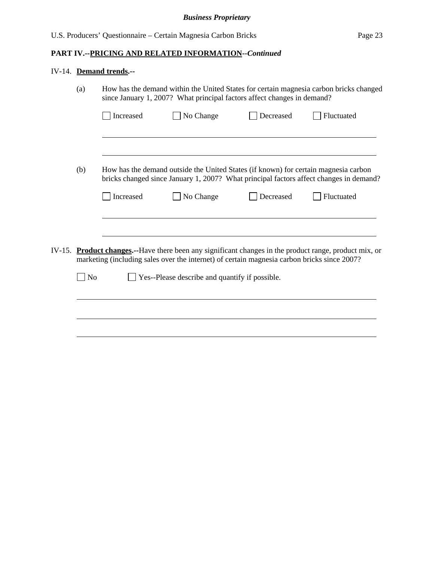## IV-14. **Demand trends.--**

|        | How has the demand within the United States for certain magnesia carbon bricks changed<br>(a)<br>since January 1, 2007? What principal factors affect changes in demand? |           |                                                                                                                                                                                                        |           |            |
|--------|--------------------------------------------------------------------------------------------------------------------------------------------------------------------------|-----------|--------------------------------------------------------------------------------------------------------------------------------------------------------------------------------------------------------|-----------|------------|
|        |                                                                                                                                                                          | Increased | No Change                                                                                                                                                                                              | Decreased | Fluctuated |
|        |                                                                                                                                                                          |           |                                                                                                                                                                                                        |           |            |
|        | (b)                                                                                                                                                                      |           | How has the demand outside the United States (if known) for certain magnesia carbon<br>bricks changed since January 1, 2007? What principal factors affect changes in demand?                          |           |            |
|        |                                                                                                                                                                          | Increased | No Change                                                                                                                                                                                              | Decreased | Fluctuated |
|        |                                                                                                                                                                          |           |                                                                                                                                                                                                        |           |            |
| IV-15. |                                                                                                                                                                          |           | <b>Product changes.</b> --Have there been any significant changes in the product range, product mix, or<br>marketing (including sales over the internet) of certain magnesia carbon bricks since 2007? |           |            |
|        | N <sub>o</sub>                                                                                                                                                           |           | Yes--Please describe and quantify if possible.                                                                                                                                                         |           |            |
|        |                                                                                                                                                                          |           |                                                                                                                                                                                                        |           |            |
|        |                                                                                                                                                                          |           |                                                                                                                                                                                                        |           |            |
|        |                                                                                                                                                                          |           |                                                                                                                                                                                                        |           |            |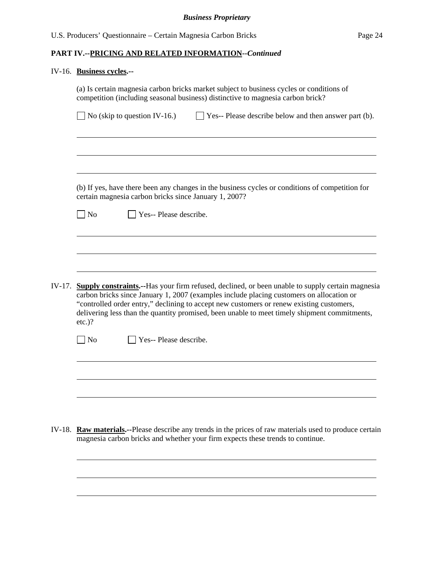#### IV-16. **Business cycles.--**

 $\overline{a}$ 

|        | (a) Is certain magnesia carbon bricks market subject to business cycles or conditions of<br>competition (including seasonal business) distinctive to magnesia carbon brick?                                                                                                                                                                                                                                  |
|--------|--------------------------------------------------------------------------------------------------------------------------------------------------------------------------------------------------------------------------------------------------------------------------------------------------------------------------------------------------------------------------------------------------------------|
|        | No (skip to question IV-16.)<br>Yes-- Please describe below and then answer part (b).                                                                                                                                                                                                                                                                                                                        |
|        |                                                                                                                                                                                                                                                                                                                                                                                                              |
|        |                                                                                                                                                                                                                                                                                                                                                                                                              |
|        |                                                                                                                                                                                                                                                                                                                                                                                                              |
|        | (b) If yes, have there been any changes in the business cycles or conditions of competition for<br>certain magnesia carbon bricks since January 1, 2007?                                                                                                                                                                                                                                                     |
|        | Yes-- Please describe.<br>No                                                                                                                                                                                                                                                                                                                                                                                 |
|        |                                                                                                                                                                                                                                                                                                                                                                                                              |
|        |                                                                                                                                                                                                                                                                                                                                                                                                              |
|        |                                                                                                                                                                                                                                                                                                                                                                                                              |
| IV-17. | <b>Supply constraints.</b> --Has your firm refused, declined, or been unable to supply certain magnesia<br>carbon bricks since January 1, 2007 (examples include placing customers on allocation or<br>"controlled order entry," declining to accept new customers or renew existing customers,<br>delivering less than the quantity promised, been unable to meet timely shipment commitments,<br>$etc.$ )? |
|        | N <sub>o</sub><br>Yes-- Please describe.                                                                                                                                                                                                                                                                                                                                                                     |
|        |                                                                                                                                                                                                                                                                                                                                                                                                              |
|        |                                                                                                                                                                                                                                                                                                                                                                                                              |
|        |                                                                                                                                                                                                                                                                                                                                                                                                              |

IV-18. **Raw materials.--**Please describe any trends in the prices of raw materials used to produce certain magnesia carbon bricks and whether your firm expects these trends to continue.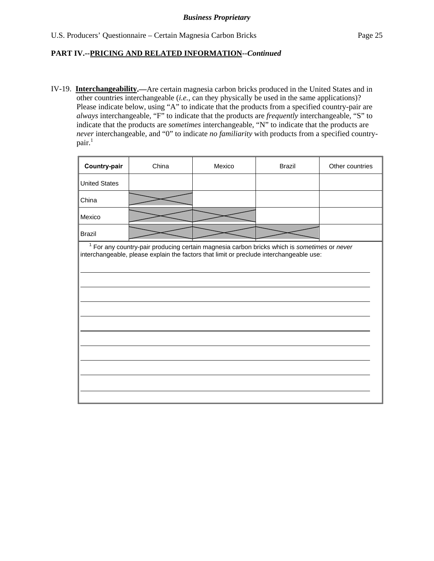IV-19. **Interchangeability.—**Are certain magnesia carbon bricks produced in the United States and in other countries interchangeable (*i.e.*, can they physically be used in the same applications)? Please indicate below, using "A" to indicate that the products from a specified country-pair are *always* interchangeable, "F" to indicate that the products are *frequently* interchangeable, "S" to indicate that the products are *sometimes* interchangeable, "N" to indicate that the products are *never* interchangeable, and "0" to indicate *no familiarity* with products from a specified country $pair.<sup>1</sup>$ 

| Country-pair         | China                                                                                                                                                                                    | Mexico | <b>Brazil</b> | Other countries |
|----------------------|------------------------------------------------------------------------------------------------------------------------------------------------------------------------------------------|--------|---------------|-----------------|
| <b>United States</b> |                                                                                                                                                                                          |        |               |                 |
| China                |                                                                                                                                                                                          |        |               |                 |
| Mexico               |                                                                                                                                                                                          |        |               |                 |
| <b>Brazil</b>        |                                                                                                                                                                                          |        |               |                 |
|                      | $1$ For any country-pair producing certain magnesia carbon bricks which is sometimes or never<br>interchangeable, please explain the factors that limit or preclude interchangeable use: |        |               |                 |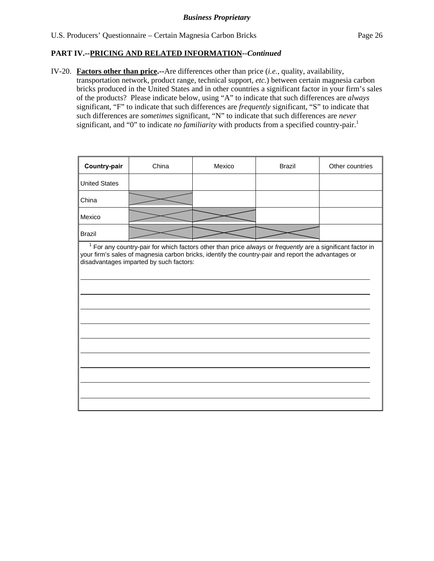IV-20. **Factors other than price.--**Are differences other than price (*i.e.*, quality, availability, transportation network, product range, technical support, *etc.*) between certain magnesia carbon bricks produced in the United States and in other countries a significant factor in your firm's sales of the products? Please indicate below, using "A" to indicate that such differences are *always* significant, "F" to indicate that such differences are *frequently* significant, "S" to indicate that such differences are *sometimes* significant, "N" to indicate that such differences are *never* significant, and "0" to indicate *no familiarity* with products from a specified country-pair.<sup>1</sup>

| Country-pair         | China                                                                                                                                                                                                                                                          | Mexico | <b>Brazil</b> | Other countries |
|----------------------|----------------------------------------------------------------------------------------------------------------------------------------------------------------------------------------------------------------------------------------------------------------|--------|---------------|-----------------|
| <b>United States</b> |                                                                                                                                                                                                                                                                |        |               |                 |
| China                |                                                                                                                                                                                                                                                                |        |               |                 |
| Mexico               |                                                                                                                                                                                                                                                                |        |               |                 |
| <b>Brazil</b>        |                                                                                                                                                                                                                                                                |        |               |                 |
|                      | $1$ For any country-pair for which factors other than price always or frequently are a significant factor in<br>your firm's sales of magnesia carbon bricks, identify the country-pair and report the advantages or<br>disadvantages imparted by such factors: |        |               |                 |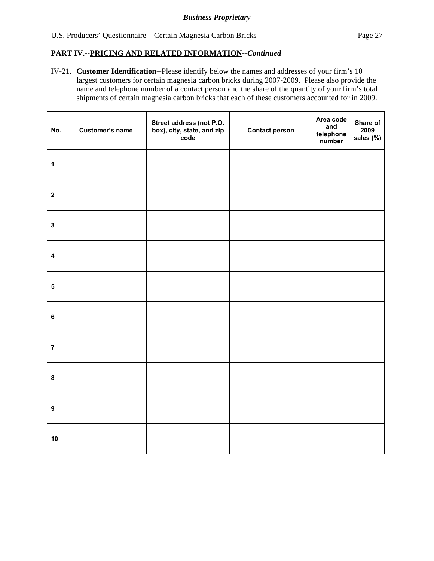IV-21. **Customer Identification**--Please identify below the names and addresses of your firm's 10 largest customers for certain magnesia carbon bricks during 2007-2009. Please also provide the name and telephone number of a contact person and the share of the quantity of your firm's total shipments of certain magnesia carbon bricks that each of these customers accounted for in 2009.

| No.                     | Customer's name | Street address (not P.O.<br>box), city, state, and zip<br>code | <b>Contact person</b> | Area code<br>and<br>telephone<br>number | Share of<br>2009<br>sales (%) |
|-------------------------|-----------------|----------------------------------------------------------------|-----------------------|-----------------------------------------|-------------------------------|
| $\mathbf 1$             |                 |                                                                |                       |                                         |                               |
| $\boldsymbol{2}$        |                 |                                                                |                       |                                         |                               |
| $\mathbf{3}$            |                 |                                                                |                       |                                         |                               |
| $\overline{\mathbf{4}}$ |                 |                                                                |                       |                                         |                               |
| $\overline{\mathbf{5}}$ |                 |                                                                |                       |                                         |                               |
| $\bf 6$                 |                 |                                                                |                       |                                         |                               |
| $\overline{7}$          |                 |                                                                |                       |                                         |                               |
| $\bf 8$                 |                 |                                                                |                       |                                         |                               |
| $\boldsymbol{9}$        |                 |                                                                |                       |                                         |                               |
| 10                      |                 |                                                                |                       |                                         |                               |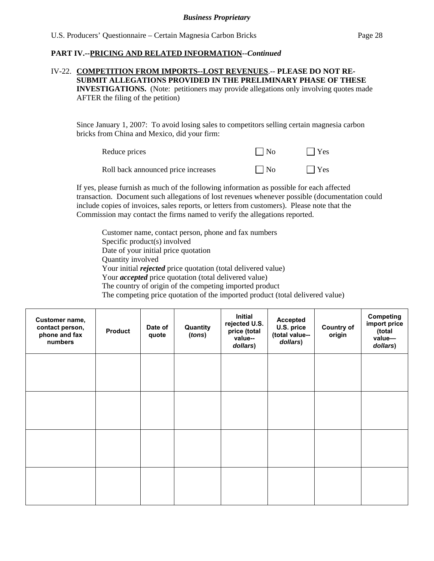## IV-22. **COMPETITION FROM IMPORTS--LOST REVENUES**.-- **PLEASE DO NOT RE-SUBMIT ALLEGATIONS PROVIDED IN THE PRELIMINARY PHASE OF THESE INVESTIGATIONS.** (Note: petitioners may provide allegations only involving quotes made AFTER the filing of the petition)

Since January 1, 2007: To avoid losing sales to competitors selling certain magnesia carbon bricks from China and Mexico, did your firm:

| Reduce prices                       | $\vert$   No | $ $   Yes  |
|-------------------------------------|--------------|------------|
| Roll back announced price increases | $\Box$ No    | $\Box$ Yes |

If yes, please furnish as much of the following information as possible for each affected transaction. Document such allegations of lost revenues whenever possible (documentation could include copies of invoices, sales reports, or letters from customers). Please note that the Commission may contact the firms named to verify the allegations reported.

Customer name, contact person, phone and fax numbers Specific product(s) involved Date of your initial price quotation Quantity involved Your initial *rejected* price quotation (total delivered value) Your *accepted* price quotation (total delivered value) The country of origin of the competing imported product The competing price quotation of the imported product (total delivered value)

| Customer name,<br>contact person,<br>phone and fax<br>numbers | <b>Product</b> | Date of<br>quote | Quantity<br>(tons) | Initial<br>rejected U.S.<br>price (total<br>value--<br>dollars) | <b>Accepted</b><br>U.S. price<br>(total value--<br>dollars) | <b>Country of</b><br>origin | Competing<br>import price<br>(total<br>value-<br>dollars) |
|---------------------------------------------------------------|----------------|------------------|--------------------|-----------------------------------------------------------------|-------------------------------------------------------------|-----------------------------|-----------------------------------------------------------|
|                                                               |                |                  |                    |                                                                 |                                                             |                             |                                                           |
|                                                               |                |                  |                    |                                                                 |                                                             |                             |                                                           |
|                                                               |                |                  |                    |                                                                 |                                                             |                             |                                                           |
|                                                               |                |                  |                    |                                                                 |                                                             |                             |                                                           |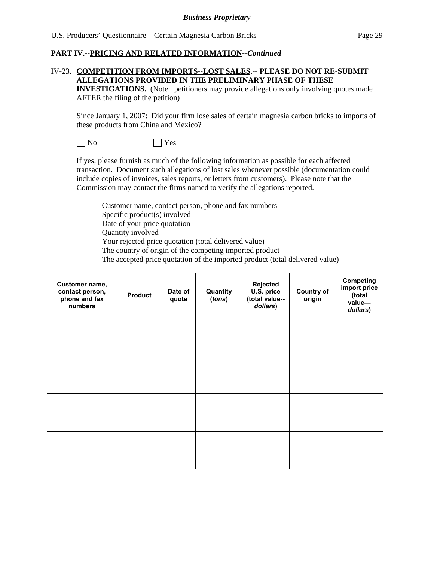## IV-23. **COMPETITION FROM IMPORTS--LOST SALES**.-- **PLEASE DO NOT RE-SUBMIT ALLEGATIONS PROVIDED IN THE PRELIMINARY PHASE OF THESE**

**INVESTIGATIONS.** (Note: petitioners may provide allegations only involving quotes made AFTER the filing of the petition)

Since January 1, 2007: Did your firm lose sales of certain magnesia carbon bricks to imports of these products from China and Mexico?

 $\neg$  No  $\neg$  Yes

If yes, please furnish as much of the following information as possible for each affected transaction. Document such allegations of lost sales whenever possible (documentation could include copies of invoices, sales reports, or letters from customers). Please note that the Commission may contact the firms named to verify the allegations reported.

Customer name, contact person, phone and fax numbers Specific product(s) involved Date of your price quotation Quantity involved Your rejected price quotation (total delivered value) The country of origin of the competing imported product The accepted price quotation of the imported product (total delivered value)

| Customer name,<br>contact person,<br>phone and fax<br>numbers | <b>Product</b> | Date of<br>quote | Quantity<br>(tons) | Rejected<br>U.S. price<br>(total value--<br>dollars) | <b>Country of</b><br>origin | <b>Competing</b><br>import price<br>(total<br>value-<br>dollars) |
|---------------------------------------------------------------|----------------|------------------|--------------------|------------------------------------------------------|-----------------------------|------------------------------------------------------------------|
|                                                               |                |                  |                    |                                                      |                             |                                                                  |
|                                                               |                |                  |                    |                                                      |                             |                                                                  |
|                                                               |                |                  |                    |                                                      |                             |                                                                  |
|                                                               |                |                  |                    |                                                      |                             |                                                                  |